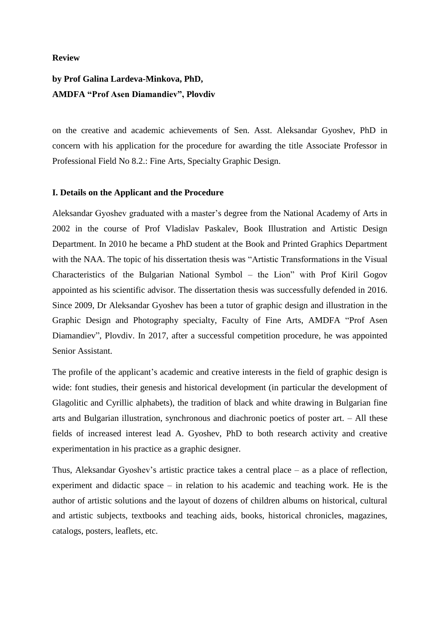#### **Review**

# **by Prof Galina Lardeva-Minkova, PhD, AMDFA "Prof Asen Diamandiev", Plovdiv**

on the creative and academic achievements of Sen. Asst. Aleksandar Gyoshev, PhD in concern with his application for the procedure for awarding the title Associate Professor in Professional Field No 8.2.: Fine Arts, Specialty Graphic Design.

## **I. Details on the Applicant and the Procedure**

Aleksandar Gyoshev graduated with a master's degree from the National Academy of Arts in 2002 in the course of Prof Vladislav Paskalev, Book Illustration and Artistic Design Department. In 2010 he became a PhD student at the Book and Printed Graphics Department with the NAA. The topic of his dissertation thesis was "Artistic Transformations in the Visual Characteristics of the Bulgarian National Symbol – the Lion" with Prof Kiril Gogov appointed as his scientific advisor. The dissertation thesis was successfully defended in 2016. Since 2009, Dr Aleksandar Gyoshev has been a tutor of graphic design and illustration in the Graphic Design and Photography specialty, Faculty of Fine Arts, AMDFA "Prof Asen Diamandiev", Plovdiv. In 2017, after a successful competition procedure, he was appointed Senior Assistant.

The profile of the applicant's academic and creative interests in the field of graphic design is wide: font studies, their genesis and historical development (in particular the development of Glagolitic and Cyrillic alphabets), the tradition of black and white drawing in Bulgarian fine arts and Bulgarian illustration, synchronous and diachronic poetics of poster art. – All these fields of increased interest lead A. Gyoshev, PhD to both research activity and creative experimentation in his practice as a graphic designer.

Thus, Aleksandar Gyoshev's artistic practice takes a central place – as a place of reflection, experiment and didactic space – in relation to his academic and teaching work. He is the author of artistic solutions and the layout of dozens of children albums on historical, cultural and artistic subjects, textbooks and teaching aids, books, historical chronicles, magazines, catalogs, posters, leaflets, etc.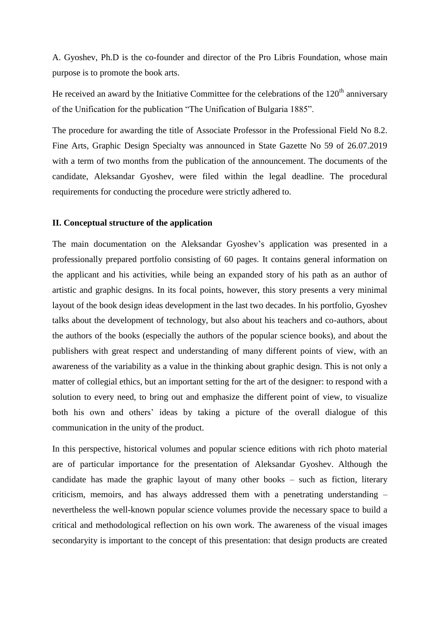A. Gyoshev, Ph.D is the co-founder and director of the Pro Libris Foundation, whose main purpose is to promote the book arts.

He received an award by the Initiative Committee for the celebrations of the  $120<sup>th</sup>$  anniversary of the Unification for the publication "The Unification of Bulgaria 1885".

The procedure for awarding the title of Associate Professor in the Professional Field No 8.2. Fine Arts, Graphic Design Specialty was announced in State Gazette No 59 of 26.07.2019 with a term of two months from the publication of the announcement. The documents of the candidate, Aleksandar Gyoshev, were filed within the legal deadline. The procedural requirements for conducting the procedure were strictly adhered to.

#### **II. Conceptual structure of the application**

The main documentation on the Aleksandar Gyoshev"s application was presented in a professionally prepared portfolio consisting of 60 pages. It contains general information on the applicant and his activities, while being an expanded story of his path as an author of artistic and graphic designs. In its focal points, however, this story presents a very minimal layout of the book design ideas development in the last two decades. In his portfolio, Gyoshev talks about the development of technology, but also about his teachers and co-authors, about the authors of the books (especially the authors of the popular science books), and about the publishers with great respect and understanding of many different points of view, with an awareness of the variability as a value in the thinking about graphic design. This is not only a matter of collegial ethics, but an important setting for the art of the designer: to respond with a solution to every need, to bring out and emphasize the different point of view, to visualize both his own and others' ideas by taking a picture of the overall dialogue of this communication in the unity of the product.

In this perspective, historical volumes and popular science editions with rich photo material are of particular importance for the presentation of Aleksandar Gyoshev. Although the candidate has made the graphic layout of many other books – such as fiction, literary criticism, memoirs, and has always addressed them with a penetrating understanding – nevertheless the well-known popular science volumes provide the necessary space to build a critical and methodological reflection on his own work. The awareness of the visual images secondaryity is important to the concept of this presentation: that design products are created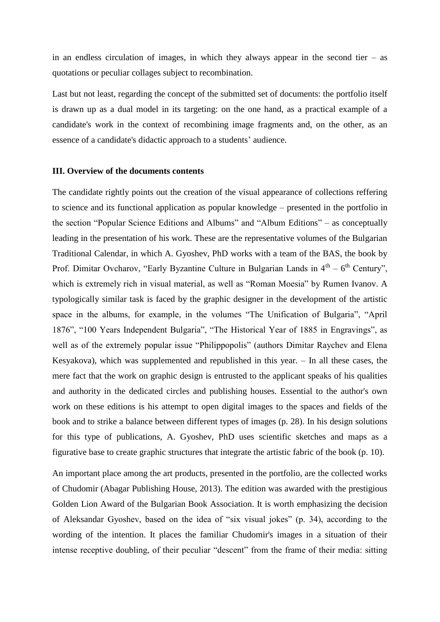in an endless circulation of images, in which they always appear in the second tier – as quotations or peculiar collages subject to recombination.

Last but not least, regarding the concept of the submitted set of documents: the portfolio itself is drawn up as a dual model in its targeting: on the one hand, as a practical example of a candidate's work in the context of recombining image fragments and, on the other, as an essence of a candidate's didactic approach to a students' audience.

## **III. Overview of the documents contents**

The candidate rightly points out the creation of the visual appearance of collections reffering to science and its functional application as popular knowledge – presented in the portfolio in the section "Popular Science Editions and Albums" and "Album Editions" – as conceptually leading in the presentation of his work. These are the representative volumes of the Bulgarian Traditional Calendar, in which A. Gyoshev, PhD works with a team of the BAS, the book by Prof. Dimitar Ovcharov, "Early Byzantine Culture in Bulgarian Lands in  $4<sup>th</sup> - 6<sup>th</sup>$  Century", which is extremely rich in visual material, as well as "Roman Moesia" by Rumen Ivanov. A typologically similar task is faced by the graphic designer in the development of the artistic space in the albums, for example, in the volumes "The Unification of Bulgaria", "April 1876", "100 Years Independent Bulgaria", "The Historical Year of 1885 in Engravings", as well as of the extremely popular issue "Philippopolis" (authors Dimitar Raychev and Elena Kesyakova), which was supplemented and republished in this year. – In all these cases, the mere fact that the work on graphic design is entrusted to the applicant speaks of his qualities and authority in the dedicated circles and publishing houses. Essential to the author's own work on these editions is his attempt to open digital images to the spaces and fields of the book and to strike a balance between different types of images (p. 28). In his design solutions for this type of publications, A. Gyoshev, PhD uses scientific sketches and maps as a figurative base to create graphic structures that integrate the artistic fabric of the book (p. 10).

An important place among the art products, presented in the portfolio, are the collected works of Chudomir (Abagar Publishing House, 2013). The edition was awarded with the prestigious Golden Lion Award of the Bulgarian Book Association. It is worth emphasizing the decision of Aleksandar Gyoshev, based on the idea of "six visual jokes" (p. 34), according to the wording of the intention. It places the familiar Chudomir's images in a situation of their intense receptive doubling, of their peculiar "descent" from the frame of their media: sitting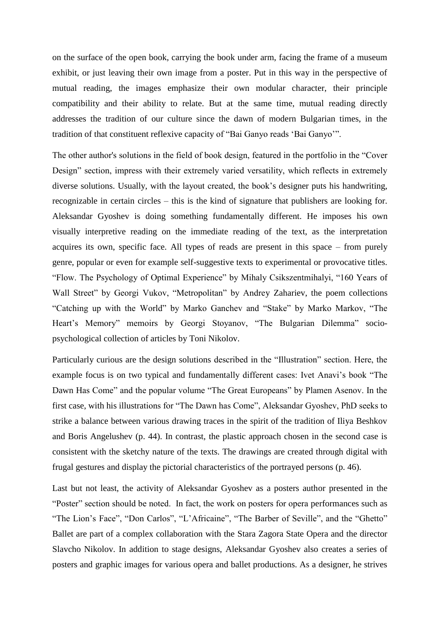on the surface of the open book, carrying the book under arm, facing the frame of a museum exhibit, or just leaving their own image from a poster. Put in this way in the perspective of mutual reading, the images emphasize their own modular character, their principle compatibility and their ability to relate. But at the same time, mutual reading directly addresses the tradition of our culture since the dawn of modern Bulgarian times, in the tradition of that constituent reflexive capacity of "Bai Ganyo reads "Bai Ganyo"".

The other author's solutions in the field of book design, featured in the portfolio in the "Cover Design" section, impress with their extremely varied versatility, which reflects in extremely diverse solutions. Usually, with the layout created, the book"s designer puts his handwriting, recognizable in certain circles – this is the kind of signature that publishers are looking for. Aleksandar Gyoshev is doing something fundamentally different. He imposes his own visually interpretive reading on the immediate reading of the text, as the interpretation acquires its own, specific face. All types of reads are present in this space – from purely genre, popular or even for example self-suggestive texts to experimental or provocative titles. "Flow. The Psychology of Optimal Experience" by Mihaly Csikszentmihalyi, "160 Years of Wall Street" by Georgi Vukov, "Metropolitan" by Andrey Zahariev, the poem collections "Catching up with the World" by Marko Ganchev and "Stake" by Marko Markov, "The Heart's Memory" memoirs by Georgi Stoyanov, "The Bulgarian Dilemma" sociopsychological collection of articles by Toni Nikolov.

Particularly curious are the design solutions described in the "Illustration" section. Here, the example focus is on two typical and fundamentally different cases: Ivet Anavi"s book "The Dawn Has Come" and the popular volume "The Great Europeans" by Plamen Asenov. In the first case, with his illustrations for "The Dawn has Come", Aleksandar Gyoshev, PhD seeks to strike a balance between various drawing traces in the spirit of the tradition of Iliya Beshkov and Boris Angelushev (p. 44). In contrast, the plastic approach chosen in the second case is consistent with the sketchy nature of the texts. The drawings are created through digital with frugal gestures and display the pictorial characteristics of the portrayed persons (p. 46).

Last but not least, the activity of Aleksandar Gyoshev as a posters author presented in the "Poster" section should be noted. In fact, the work on posters for opera performances such as "The Lion's Face", "Don Carlos", "L'Africaine", "The Barber of Seville", and the "Ghetto" Ballet are part of a complex collaboration with the Stara Zagora State Opera and the director Slavcho Nikolov. In addition to stage designs, Aleksandar Gyoshev also creates a series of posters and graphic images for various opera and ballet productions. As a designer, he strives